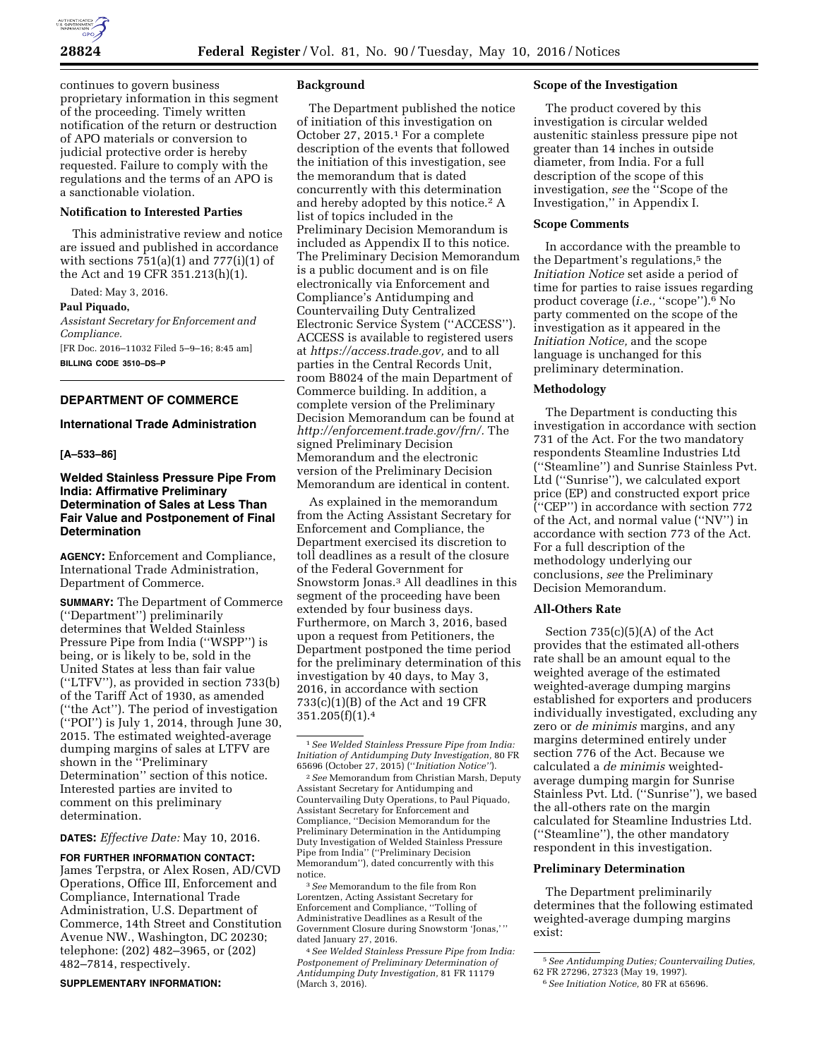continues to govern business proprietary information in this segment of the proceeding. Timely written notification of the return or destruction of APO materials or conversion to judicial protective order is hereby requested. Failure to comply with the regulations and the terms of an APO is a sanctionable violation.

# **Notification to Interested Parties**

This administrative review and notice are issued and published in accordance with sections  $751(a)(1)$  and  $777(i)(1)$  of the Act and 19 CFR 351.213(h)(1).

Dated: May 3, 2016.

**Paul Piquado,** 

*Assistant Secretary for Enforcement and Compliance.*  [FR Doc. 2016–11032 Filed 5–9–16; 8:45 am]

**BILLING CODE 3510–DS–P** 

# **DEPARTMENT OF COMMERCE**

## **International Trade Administration**

### **[A–533–86]**

# **Welded Stainless Pressure Pipe From India: Affirmative Preliminary Determination of Sales at Less Than Fair Value and Postponement of Final Determination**

**AGENCY:** Enforcement and Compliance, International Trade Administration, Department of Commerce.

**SUMMARY:** The Department of Commerce (''Department'') preliminarily determines that Welded Stainless Pressure Pipe from India (''WSPP'') is being, or is likely to be, sold in the United States at less than fair value (''LTFV''), as provided in section 733(b) of the Tariff Act of 1930, as amended (''the Act''). The period of investigation (''POI'') is July 1, 2014, through June 30, 2015. The estimated weighted-average dumping margins of sales at LTFV are shown in the ''Preliminary Determination'' section of this notice. Interested parties are invited to comment on this preliminary determination.

**DATES:** *Effective Date:* May 10, 2016.

**FOR FURTHER INFORMATION CONTACT:**  James Terpstra, or Alex Rosen, AD/CVD Operations, Office III, Enforcement and Compliance, International Trade Administration, U.S. Department of Commerce, 14th Street and Constitution Avenue NW., Washington, DC 20230; telephone: (202) 482–3965, or (202) 482–7814, respectively.

**SUPPLEMENTARY INFORMATION:** 

### **Background**

The Department published the notice of initiation of this investigation on October 27, 2015.1 For a complete description of the events that followed the initiation of this investigation, see the memorandum that is dated concurrently with this determination and hereby adopted by this notice.<sup>2</sup> A list of topics included in the Preliminary Decision Memorandum is included as Appendix II to this notice. The Preliminary Decision Memorandum is a public document and is on file electronically via Enforcement and Compliance's Antidumping and Countervailing Duty Centralized Electronic Service System (''ACCESS''). ACCESS is available to registered users at *[https://access.trade.gov,](https://access.trade.gov)* and to all parties in the Central Records Unit, room B8024 of the main Department of Commerce building. In addition, a complete version of the Preliminary Decision Memorandum can be found at *[http://enforcement.trade.gov/frn/.](http://enforcement.trade.gov/frn/)* The signed Preliminary Decision Memorandum and the electronic version of the Preliminary Decision Memorandum are identical in content.

As explained in the memorandum from the Acting Assistant Secretary for Enforcement and Compliance, the Department exercised its discretion to toll deadlines as a result of the closure of the Federal Government for Snowstorm Jonas.3 All deadlines in this segment of the proceeding have been extended by four business days. Furthermore, on March 3, 2016, based upon a request from Petitioners, the Department postponed the time period for the preliminary determination of this investigation by 40 days, to May 3, 2016, in accordance with section 733(c)(1)(B) of the Act and 19 CFR  $351.205(f)(1).4$ 

3*See* Memorandum to the file from Ron Lorentzen, Acting Assistant Secretary for Enforcement and Compliance, ''Tolling of Administrative Deadlines as a Result of the Government Closure during Snowstorm 'Jonas,' '' dated January 27, 2016.

4*See Welded Stainless Pressure Pipe from India: Postponement of Preliminary Determination of Antidumping Duty Investigation,* 81 FR 11179 (March 3, 2016).

### **Scope of the Investigation**

The product covered by this investigation is circular welded austenitic stainless pressure pipe not greater than 14 inches in outside diameter, from India. For a full description of the scope of this investigation, *see* the ''Scope of the Investigation,'' in Appendix I.

#### **Scope Comments**

In accordance with the preamble to the Department's regulations,<sup>5</sup> the *Initiation Notice* set aside a period of time for parties to raise issues regarding product coverage (*i.e.*, "scope").<sup>6</sup> No party commented on the scope of the investigation as it appeared in the *Initiation Notice,* and the scope language is unchanged for this preliminary determination.

### **Methodology**

The Department is conducting this investigation in accordance with section 731 of the Act. For the two mandatory respondents Steamline Industries Ltd (''Steamline'') and Sunrise Stainless Pvt. Ltd (''Sunrise''), we calculated export price (EP) and constructed export price (''CEP'') in accordance with section 772 of the Act, and normal value (''NV'') in accordance with section 773 of the Act. For a full description of the methodology underlying our conclusions, *see* the Preliminary Decision Memorandum.

### **All-Others Rate**

Section 735(c)(5)(A) of the Act provides that the estimated all-others rate shall be an amount equal to the weighted average of the estimated weighted-average dumping margins established for exporters and producers individually investigated, excluding any zero or *de minimis* margins, and any margins determined entirely under section 776 of the Act. Because we calculated a *de minimis* weightedaverage dumping margin for Sunrise Stainless Pvt. Ltd. (''Sunrise''), we based the all-others rate on the margin calculated for Steamline Industries Ltd. (''Steamline''), the other mandatory respondent in this investigation.

### **Preliminary Determination**

The Department preliminarily determines that the following estimated weighted-average dumping margins exist:

<sup>1</sup>*See Welded Stainless Pressure Pipe from India: Initiation of Antidumping Duty Investigation,* 80 FR 65696 (October 27, 2015) (''*Initiation Notice''*).

<sup>2</sup>*See* Memorandum from Christian Marsh, Deputy Assistant Secretary for Antidumping and Countervailing Duty Operations, to Paul Piquado, Assistant Secretary for Enforcement and Compliance, ''Decision Memorandum for the Preliminary Determination in the Antidumping Duty Investigation of Welded Stainless Pressure Pipe from India'' (''Preliminary Decision Memorandum''), dated concurrently with this notice.

<sup>5</sup>*See Antidumping Duties; Countervailing Duties,*  62 FR 27296, 27323 (May 19, 1997).

<sup>6</sup>*See Initiation Notice,* 80 FR at 65696.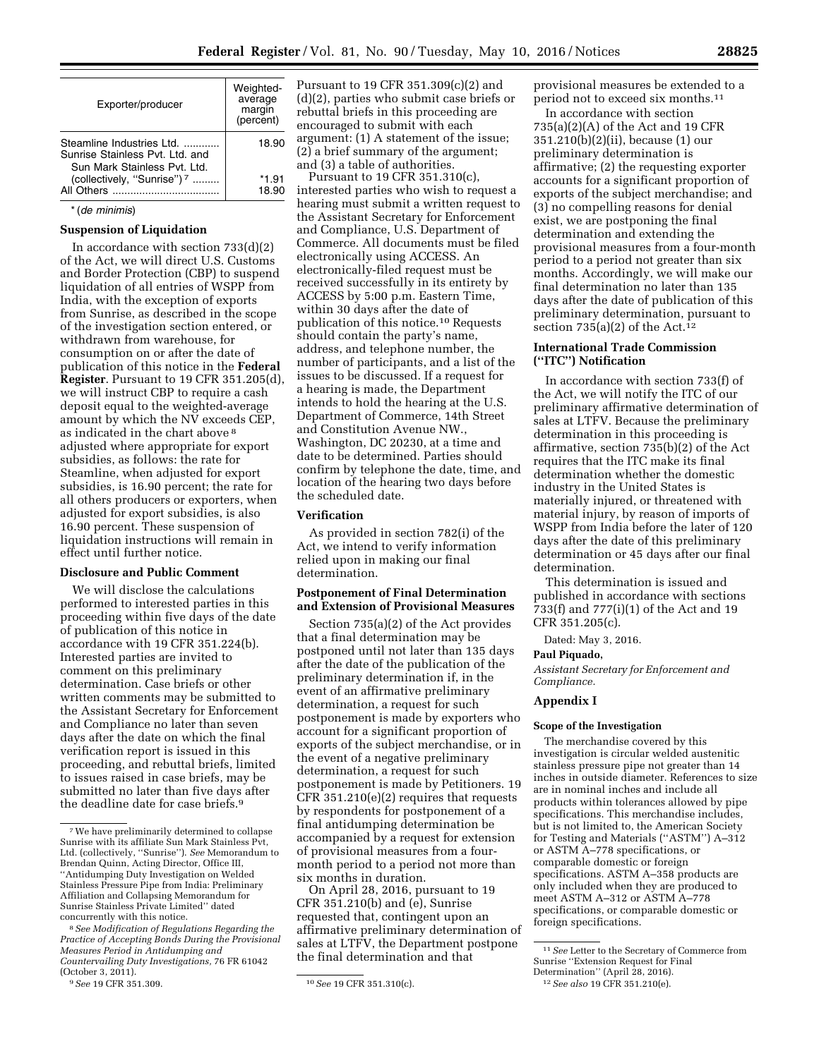|                                                                                              | Weighted-<br>average |
|----------------------------------------------------------------------------------------------|----------------------|
| Exporter/producer                                                                            | margin<br>(percent)  |
| Steamline Industries Ltd<br>Sunrise Stainless Pyt. Ltd. and<br>Sun Mark Stainless Pvt. I td. | 18.90                |
| (collectively, "Sunrise") <sup>7</sup>                                                       | *1.91<br>18.90       |

# \* (*de minimis*)

### **Suspension of Liquidation**

In accordance with section 733(d)(2) of the Act, we will direct U.S. Customs and Border Protection (CBP) to suspend liquidation of all entries of WSPP from India, with the exception of exports from Sunrise, as described in the scope of the investigation section entered, or withdrawn from warehouse, for consumption on or after the date of publication of this notice in the **Federal Register**. Pursuant to 19 CFR 351.205(d), we will instruct CBP to require a cash deposit equal to the weighted-average amount by which the NV exceeds CEP, as indicated in the chart above 8 adjusted where appropriate for export subsidies, as follows: the rate for Steamline, when adjusted for export subsidies, is 16.90 percent; the rate for all others producers or exporters, when adjusted for export subsidies, is also 16.90 percent. These suspension of liquidation instructions will remain in effect until further notice.

# **Disclosure and Public Comment**

We will disclose the calculations performed to interested parties in this proceeding within five days of the date of publication of this notice in accordance with 19 CFR 351.224(b). Interested parties are invited to comment on this preliminary determination. Case briefs or other written comments may be submitted to the Assistant Secretary for Enforcement and Compliance no later than seven days after the date on which the final verification report is issued in this proceeding, and rebuttal briefs, limited to issues raised in case briefs, may be submitted no later than five days after the deadline date for case briefs.9

Pursuant to 19 CFR 351.309(c)(2) and (d)(2), parties who submit case briefs or rebuttal briefs in this proceeding are encouraged to submit with each argument: (1) A statement of the issue; (2) a brief summary of the argument; and (3) a table of authorities.

Pursuant to 19 CFR 351.310(c), interested parties who wish to request a hearing must submit a written request to the Assistant Secretary for Enforcement and Compliance, U.S. Department of Commerce. All documents must be filed electronically using ACCESS. An electronically-filed request must be received successfully in its entirety by ACCESS by 5:00 p.m. Eastern Time, within 30 days after the date of publication of this notice.10 Requests should contain the party's name, address, and telephone number, the number of participants, and a list of the issues to be discussed. If a request for a hearing is made, the Department intends to hold the hearing at the U.S. Department of Commerce, 14th Street and Constitution Avenue NW., Washington, DC 20230, at a time and date to be determined. Parties should confirm by telephone the date, time, and location of the hearing two days before the scheduled date.

### **Verification**

As provided in section 782(i) of the Act, we intend to verify information relied upon in making our final determination.

# **Postponement of Final Determination and Extension of Provisional Measures**

Section 735(a)(2) of the Act provides that a final determination may be postponed until not later than 135 days after the date of the publication of the preliminary determination if, in the event of an affirmative preliminary determination, a request for such postponement is made by exporters who account for a significant proportion of exports of the subject merchandise, or in the event of a negative preliminary determination, a request for such postponement is made by Petitioners. 19 CFR 351.210(e)(2) requires that requests by respondents for postponement of a final antidumping determination be accompanied by a request for extension of provisional measures from a fourmonth period to a period not more than six months in duration.

On April 28, 2016, pursuant to 19 CFR 351.210(b) and (e), Sunrise requested that, contingent upon an affirmative preliminary determination of sales at LTFV, the Department postpone the final determination and that

provisional measures be extended to a period not to exceed six months.11

In accordance with section 735(a)(2)(A) of the Act and 19 CFR 351.210(b)(2)(ii), because (1) our preliminary determination is affirmative; (2) the requesting exporter accounts for a significant proportion of exports of the subject merchandise; and (3) no compelling reasons for denial exist, we are postponing the final determination and extending the provisional measures from a four-month period to a period not greater than six months. Accordingly, we will make our final determination no later than 135 days after the date of publication of this preliminary determination, pursuant to section  $735(a)(2)$  of the Act.<sup>12</sup>

# **International Trade Commission (''ITC'') Notification**

In accordance with section 733(f) of the Act, we will notify the ITC of our preliminary affirmative determination of sales at LTFV. Because the preliminary determination in this proceeding is affirmative, section 735(b)(2) of the Act requires that the ITC make its final determination whether the domestic industry in the United States is materially injured, or threatened with material injury, by reason of imports of WSPP from India before the later of 120 days after the date of this preliminary determination or 45 days after our final determination.

This determination is issued and published in accordance with sections 733(f) and 777(i)(1) of the Act and 19 CFR 351.205(c).

Dated: May 3, 2016.

# **Paul Piquado,**

*Assistant Secretary for Enforcement and Compliance.* 

#### **Appendix I**

### **Scope of the Investigation**

The merchandise covered by this investigation is circular welded austenitic stainless pressure pipe not greater than 14 inches in outside diameter. References to size are in nominal inches and include all products within tolerances allowed by pipe specifications. This merchandise includes, but is not limited to, the American Society for Testing and Materials (''ASTM'') A–312 or ASTM A–778 specifications, or comparable domestic or foreign specifications. ASTM A–358 products are only included when they are produced to meet ASTM A–312 or ASTM A–778 specifications, or comparable domestic or foreign specifications.

<sup>7</sup>We have preliminarily determined to collapse Sunrise with its affiliate Sun Mark Stainless Pvt, Ltd. (collectively, ''Sunrise''). *See* Memorandum to Brendan Quinn, Acting Director, Office III, ''Antidumping Duty Investigation on Welded Stainless Pressure Pipe from India: Preliminary Affiliation and Collapsing Memorandum for Sunrise Stainless Private Limited'' dated concurrently with this notice.

<sup>8</sup>*See Modification of Regulations Regarding the Practice of Accepting Bonds During the Provisional Measures Period in Antidumping and Countervailing Duty Investigations,* 76 FR 61042 (October 3, 2011).<br><sup>9</sup> See 19 CFR 351.309.

<sup>9</sup>*See* 19 CFR 351.309. 10*See* 19 CFR 351.310(c).

<sup>11</sup>*See* Letter to the Secretary of Commerce from Sunrise ''Extension Request for Final

Determination'' (April 28, 2016).

<sup>12</sup>*See also* 19 CFR 351.210(e).